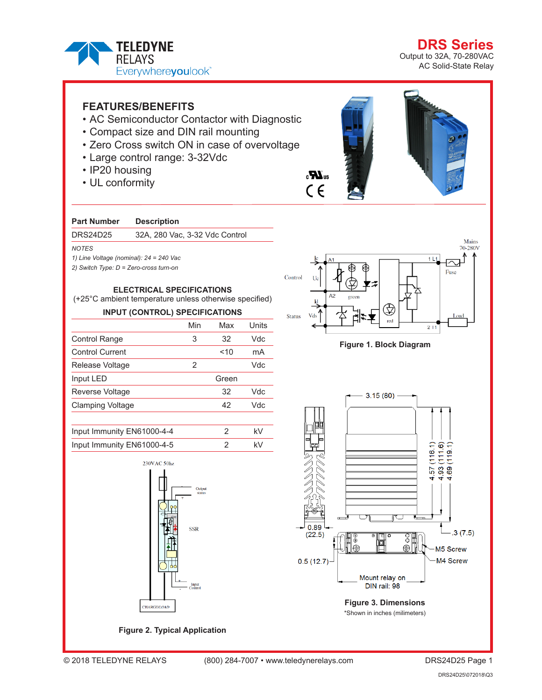

**DRS Seri** Output to 32A, 70-280VAC AC Solid-State Relay

# **FEATURES/BENEFITS**

- AC Semiconductor Contactor with Diagnostic
- Compact size and DIN rail mounting
- Zero Cross switch ON in case of overvoltage
- Large control range: 3-32Vdc
- IP20 housing
- UL conformity

### **Part Number Description**

DRS24D25 32A, 280 Vac, 3-32 Vdc Control

#### *NOTES*

*1) Line Voltage (nominal): 24 = 240 Vac*

*2) Switch Type: D = Zero-cross turn-on*

## **ELECTRICAL SPECIFICATIONS**

(+25°C ambient temperature unless otherwise specified)

# **INPUT (CONTROL) SPECIFICATIONS**

|                         | Min | Max   | Units |  |
|-------------------------|-----|-------|-------|--|
| <b>Control Range</b>    | 3   | 32    | Vdc   |  |
| <b>Control Current</b>  |     | 10    | mA    |  |
| Release Voltage         | 2   |       | Vdc   |  |
| Input LED               |     | Green |       |  |
| Reverse Voltage         |     | 32    | Vdc   |  |
| <b>Clamping Voltage</b> |     | 42    | Vdc   |  |
|                         |     |       |       |  |
|                         |     |       |       |  |

| Input Immunity EN61000-4-4 | kV |
|----------------------------|----|
| Input Immunity EN61000-4-5 | kV |



**Figure 2. Typical Application**





### **Figure 1. Block Diagram**



\*Shown in inches (milimeters)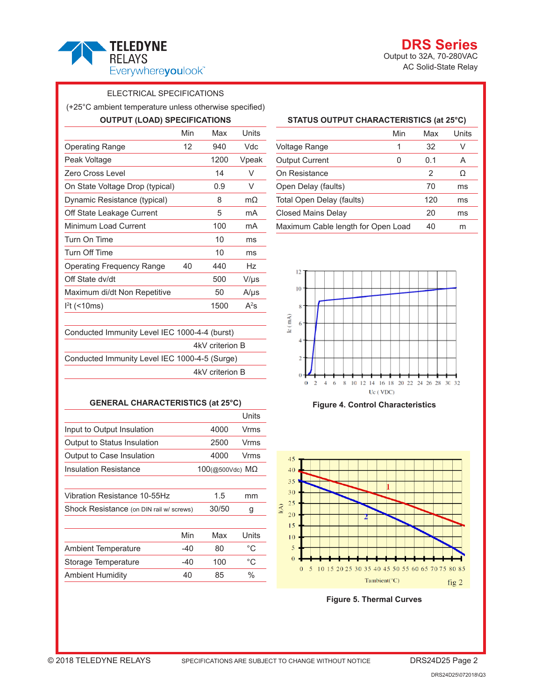

**DRS** Output to 32A, 70-280VAC AC Solid-State Relay

## ELECTRICAL SPECIFICATIONS

(+25°C ambient temperature unless otherwise specified)

| <b>OUTPUT (LOAD) SPECIFICATIONS</b>           |     |      |           |
|-----------------------------------------------|-----|------|-----------|
|                                               | Min | Max  | Units     |
| <b>Operating Range</b>                        | 12  | 940  | Vdc       |
| Peak Voltage                                  |     | 1200 | Vpeak     |
| Zero Cross Level                              |     | 14   | V         |
| On State Voltage Drop (typical)               |     | 0.9  | V         |
| Dynamic Resistance (typical)                  |     | 8    | $m\Omega$ |
| Off State Leakage Current                     |     | 5    | mA        |
| Minimum Load Current                          |     | 100  | mA        |
| Turn On Time                                  |     | 10   | ms        |
| Turn Off Time                                 |     | 10   | ms        |
| Operating Frequency Range                     | 40  | 440  | Hz        |
| Off State dv/dt                               |     | 500  | V/µs      |
| Maximum di/dt Non Repetitive                  |     | 50   | $A/\mu s$ |
| $l2t$ (<10ms)                                 |     | 1500 | $A^2S$    |
| Conducted Immunity Level IEC 1000-4-4 (burst) |     |      |           |

4kV criterion B Conducted Immunity Level IEC 1000-4-5 (Surge) 4kV criterion B

### **GENERAL CHARACTERISTICS (at 25°C)**

|                                          |       |                           | Units       |
|------------------------------------------|-------|---------------------------|-------------|
| Input to Output Insulation               |       | 4000                      | Vrms        |
| Output to Status Insulation              |       | 2500                      | Vrms        |
| Output to Case Insulation                |       | 4000                      | Vrms        |
| Insulation Resistance                    |       | $100$ (@500Vdc) $M\Omega$ |             |
|                                          |       |                           |             |
| Vibration Resistance 10-55Hz             |       | 1.5                       | mm          |
| Shock Resistance (on DIN rail w/ screws) |       | 30/50                     | g           |
|                                          |       |                           |             |
|                                          | Min   | Max                       | Units       |
| <b>Ambient Temperature</b>               | -40   | 80                        | $^{\circ}C$ |
| Storage Temperature                      | $-40$ | 100                       | °C          |
| <b>Ambient Humidity</b>                  | 40    | 85                        | %           |

# **STATUS OUTPUT CHARACTERISTICS (at 25°C)**

|                                    | Min | Max | Units |
|------------------------------------|-----|-----|-------|
| Voltage Range                      | 1   | 32  | V     |
| <b>Output Current</b>              | 0   | 0.1 | А     |
| On Resistance                      |     | 2   | Ω     |
| Open Delay (faults)                |     | 70  | ms    |
| Total Open Delay (faults)          |     | 120 | ms    |
| Closed Mains Delay                 |     | 20  | ms    |
| Maximum Cable length for Open Load |     | 40  | m     |







**Figure 5. Thermal Curves**